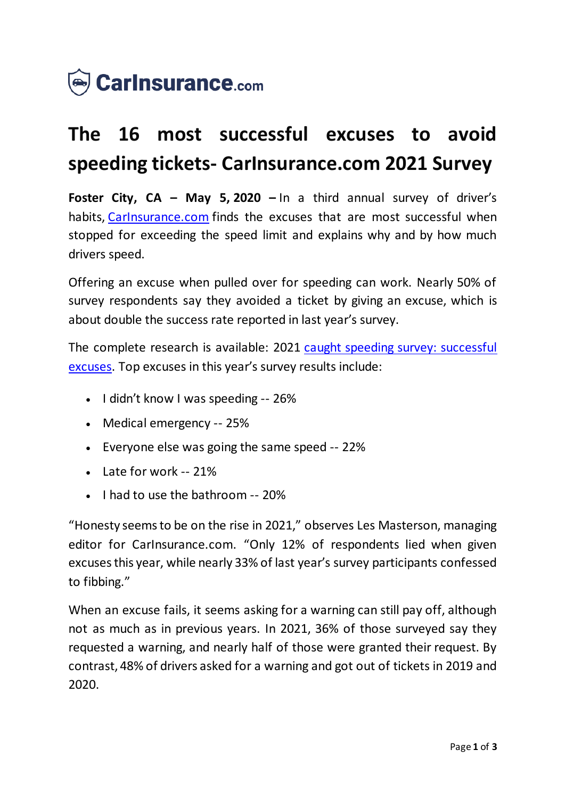

## **The 16 most successful excuses to avoid speeding tickets- CarInsurance.com 2021 Survey**

**Foster City, CA – May 5, 2020 –** In a third annual survey of driver's habits, Carinsurance.com finds the excuses that are most successful when stopped for exceeding the speed limit and explains why and by how much drivers speed.

Offering an excuse when pulled over for speeding can work. Nearly 50% of survey respondents say they avoided a ticket by giving an excuse, which is about double the success rate reported in last year's survey.

The complete research is available: 2021 [caught speeding survey: successful](https://www.carinsurance.com/speeding-ticket-excuses/)  [excuses](https://www.carinsurance.com/speeding-ticket-excuses/). Top excuses in this year's survey results include:

- $\bullet$  I didn't know I was speeding -- 26%
- Medical emergency -- 25%
- Everyone else was going the same speed -- 22%
- Late for work -- 21%
- $\bullet$  I had to use the bathroom  $-20\%$

"Honesty seems to be on the rise in 2021," observes Les Masterson, managing editor for CarInsurance.com. "Only 12% of respondents lied when given excuses this year, while nearly 33% of last year's survey participants confessed to fibbing."

When an excuse fails, it seems asking for a warning can still pay off, although not as much as in previous years. In 2021, 36% of those surveyed say they requested a warning, and nearly half of those were granted their request. By contrast, 48% of drivers asked for a warning and got out of tickets in 2019 and 2020.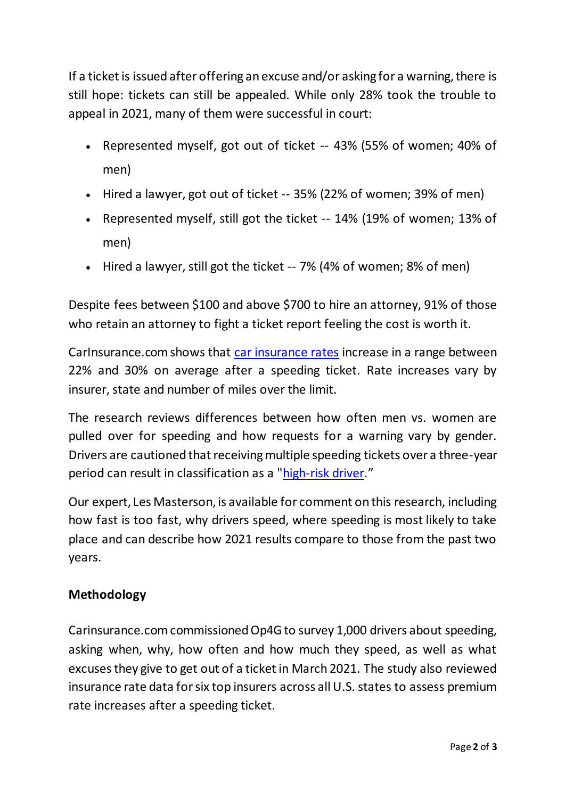If a ticket is issued after offering an excuse and/or asking for a warning, there is still hope: tickets can still be appealed. While only 28% took the trouble to appeal in 2021, many of them were successful in court:

- Represented myself, got out of ticket -- 43% (55% of women; 40% of men)
- Hired a lawyer, got out of ticket -- 35% (22% of women; 39% of men)
- Represented myself, still got the ticket -- 14% (19% of women; 13% of men)
- Hired a lawyer, still got the ticket -- 7% (4% of women; 8% of men)

Despite fees between \$100 and above \$700 to hire an attorney, 91% of those who retain an attorney to fight a ticket report feeling the cost is worth it.

CarInsurance.com shows that [car insurance rates](https://www.carinsurance.com/calculators/average-car-insurance-rates.aspx) increase in a range between 22% and 30% on average after a speeding ticket. Rate increases vary by insurer, state and number of miles over the limit.

The research reviews differences between how often men vs. women are pulled over for speeding and how requests for a warning vary by gender. Drivers are cautioned that receiving multiple speeding tickets over a three-year period can result in classification as a ["high-risk driver](https://www.carinsurance.com/Articles/high-risk-driver-insurance)."

Our expert, Les Masterson, is available for comment on this research, including how fast is too fast, why drivers speed, where speeding is most likely to take place and can describe how 2021 results compare to those from the past two years.

## **Methodology**

Carinsurance.com commissioned Op4G to survey 1,000 drivers about speeding, asking when, why, how often and how much they speed, as well as what excuses they give to get out of a ticket in March 2021. The study also reviewed insurance rate data for six top insurers across all U.S. states to assess premium rate increases after a speeding ticket.